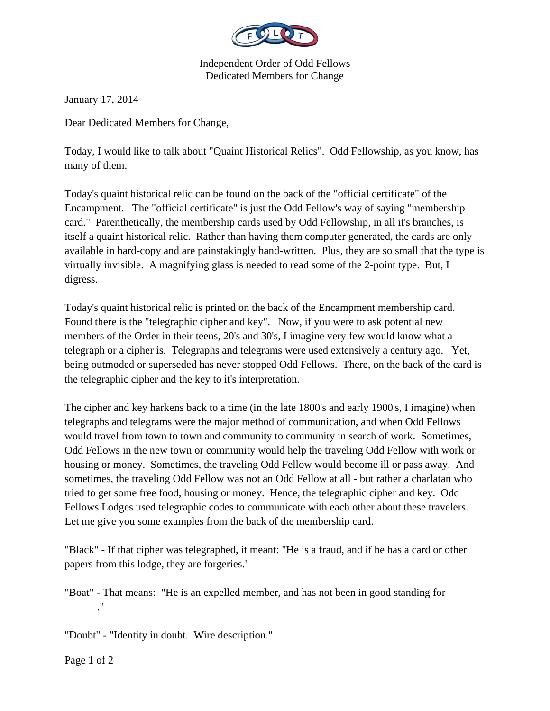

Independent Order of Odd Fellows Dedicated Members for Change

January 17, 2014

Dear Dedicated Members for Change,

Today, I would like to talk about "Quaint Historical Relics". Odd Fellowship, as you know, has many of them.

Today's quaint historical relic can be found on the back of the "official certificate" of the Encampment. The "official certificate" is just the Odd Fellow's way of saying "membership card." Parenthetically, the membership cards used by Odd Fellowship, in all it's branches, is itself a quaint historical relic. Rather than having them computer generated, the cards are only available in hard-copy and are painstakingly hand-written. Plus, they are so small that the type is virtually invisible. A magnifying glass is needed to read some of the 2-point type. But, I digress.

Today's quaint historical relic is printed on the back of the Encampment membership card. Found there is the "telegraphic cipher and key". Now, if you were to ask potential new members of the Order in their teens, 20's and 30's, I imagine very few would know what a telegraph or a cipher is. Telegraphs and telegrams were used extensively a century ago. Yet, being outmoded or superseded has never stopped Odd Fellows. There, on the back of the card is the telegraphic cipher and the key to it's interpretation.

The cipher and key harkens back to a time (in the late 1800's and early 1900's, I imagine) when telegraphs and telegrams were the major method of communication, and when Odd Fellows would travel from town to town and community to community in search of work. Sometimes, Odd Fellows in the new town or community would help the traveling Odd Fellow with work or housing or money. Sometimes, the traveling Odd Fellow would become ill or pass away. And sometimes, the traveling Odd Fellow was not an Odd Fellow at all - but rather a charlatan who tried to get some free food, housing or money. Hence, the telegraphic cipher and key. Odd Fellows Lodges used telegraphic codes to communicate with each other about these travelers. Let me give you some examples from the back of the membership card.

"Black" - If that cipher was telegraphed, it meant: "He is a fraud, and if he has a card or other papers from this lodge, they are forgeries."

"Boat" - That means: "He is an expelled member, and has not been in good standing for

"Doubt" - "Identity in doubt. Wire description."

\_\_\_\_\_\_."